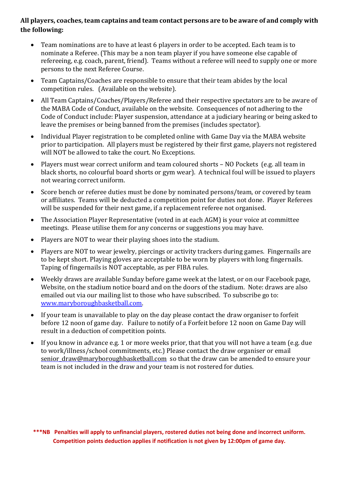## **All players, coaches, team captains and team contact persons are to be aware of and comply with the following:**

- Team nominations are to have at least 6 players in order to be accepted. Each team is to nominate a Referee. (This may be a non team player if you have someone else capable of refereeing, e.g. coach, parent, friend). Teams without a referee will need to supply one or more persons to the next Referee Course.
- Team Captains/Coaches are responsible to ensure that their team abides by the local competition rules. (Available on the website).
- All Team Captains/Coaches/Players/Referee and their respective spectators are to be aware of the MABA Code of Conduct, available on the website. Consequences of not adhering to the Code of Conduct include: Player suspension, attendance at a judiciary hearing or being asked to leave the premises or being banned from the premises (includes spectator).
- Individual Player registration to be completed online with Game Day via the MABA website prior to participation. All players must be registered by their first game, players not registered will NOT be allowed to take the court. No Exceptions.
- Players must wear correct uniform and team coloured shorts NO Pockets (e.g. all team in black shorts, no colourful board shorts or gym wear). A technical foul will be issued to players not wearing correct uniform.
- Score bench or referee duties must be done by nominated persons/team, or covered by team or affiliates. Teams will be deducted a competition point for duties not done. Player Referees will be suspended for their next game, if a replacement referee not organised.
- The Association Player Representative (voted in at each AGM) is your voice at committee meetings. Please utilise them for any concerns or suggestions you may have.
- Players are NOT to wear their playing shoes into the stadium.
- Players are NOT to wear jewelry, piercings or activity trackers during games. Fingernails are to be kept short. Playing gloves are acceptable to be worn by players with long fingernails. Taping of fingernails is NOT acceptable, as per FIBA rules.
- Weekly draws are available Sunday before game week at the latest, or on our Facebook page, Website, on the stadium notice board and on the doors of the stadium. Note: draws are also emailed out via our mailing list to those who have subscribed. To subscribe go to: www.maryboroughbasketball.com.
- If your team is unavailable to play on the day please contact the draw organiser to forfeit before 12 noon of game day. Failure to notify of a Forfeit before 12 noon on Game Day will result in a deduction of competition points.
- If you know in advance e.g. 1 or more weeks prior, that that you will not have a team (e.g. due to work/illness/school commitments, etc.) Please contact the draw organiser or email senior draw@maryboroughbasketball.com so that the draw can be amended to ensure your team is not included in the draw and your team is not rostered for duties.

**\*\*\*NB Penalties will apply to unfinancial players, rostered duties not being done and incorrect uniform. Competition points deduction applies if notification is not given by 12:00pm of game day.**